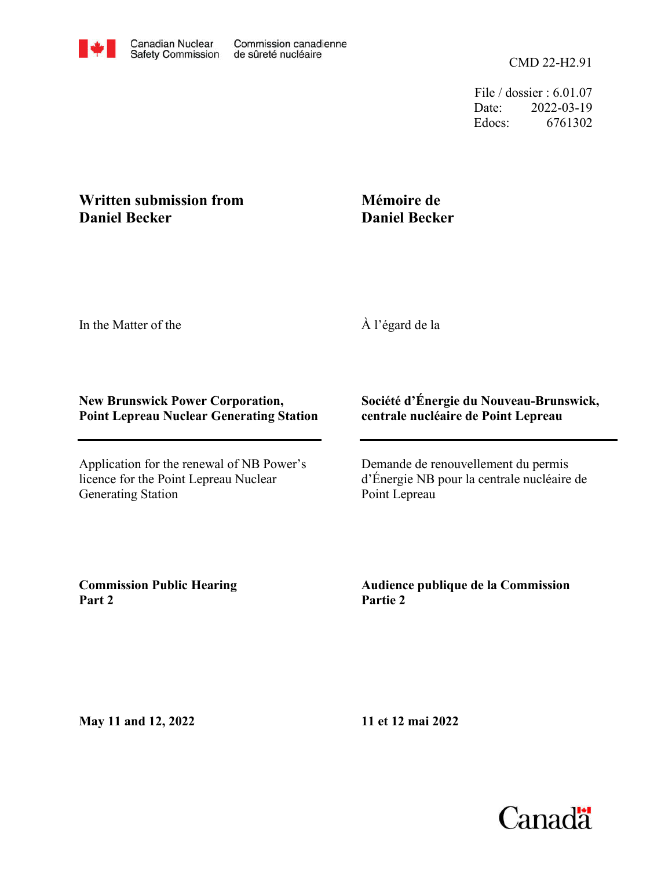File / dossier : 6.01.07 Date: 2022-03-19 Edocs: 6761302

## **Written submission from Daniel Becker**

# **Mémoire de Daniel Becker**

In the Matter of the

À l'égard de la

#### **New Brunswick Power Corporation, Point Lepreau Nuclear Generating Station**

Application for the renewal of NB Power's licence for the Point Lepreau Nuclear Generating Station

## **Société d'Énergie du Nouveau-Brunswick, centrale nucléaire de Point Lepreau**

Demande de renouvellement du permis d'Énergie NB pour la centrale nucléaire de Point Lepreau

**Commission Public Hearing Part 2**

**Audience publique de la Commission Partie 2**

**May 11 and 12, 2022**

**11 et 12 mai 2022**

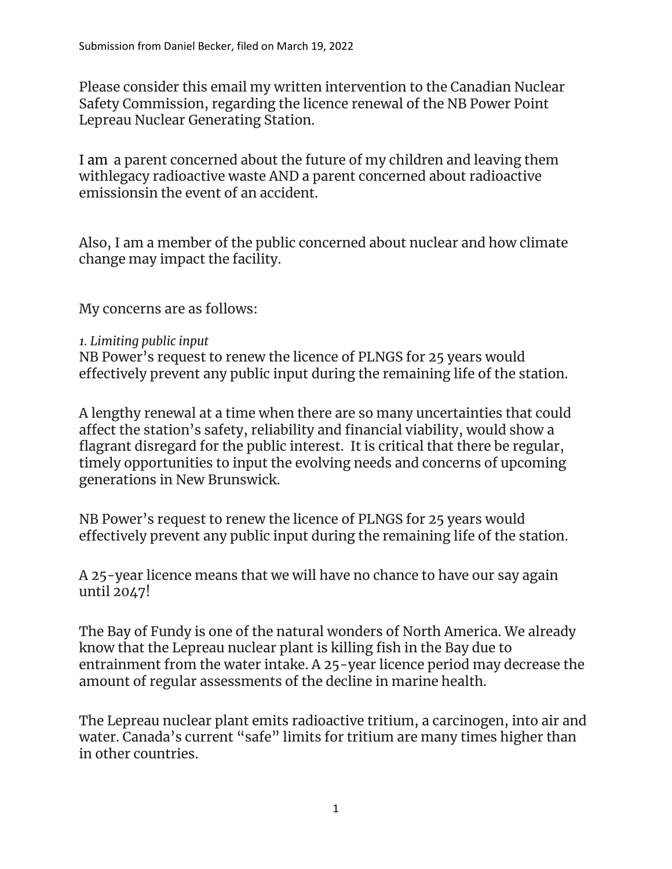Lepreau Nuclear Generating Station. Safety Commission, regarding the licence renewal of the NB Power Point Please consider this email my written intervention to the Canadian Nuclear

emissionsin the event of an accident. withlegacy radioactive waste AND a parent concerned about radioactive I am a parent concerned about the future of my children and leaving them

change may impact the facility. Also, I am a member of the public concerned about nuclear and how climate

My concerns are as follows:

*1. Limiting public input*

 effectively prevent any public input during the remaining life of the station. NB Power's request to renew the licence of PLNGS for 25 years would

 flagrant disregard for the public interest. It is critical that there be regular, generations in New Brunswick. timely opportunities to input the evolving needs and concerns of upcoming affect the station's safety, reliability and financial viability, would show a A lengthy renewal at a time when there are so many uncertainties that could

effectively prevent any public input during the remaining life of the station. NB Power's request to renew the licence of PLNGS for 25 years would

until 2047! A 25-year licence means that we will have no chance to have our say again

amount of regular assessments of the decline in marine health. entrainment from the water intake. A 25-year licence period may decrease the know that the Lepreau nuclear plant is killing fish in the Bay due to The Bay of Fundy is one of the natural wonders of North America. We already

in other countries. water. Canada's current "safe" limits for tritium are many times higher than The Lepreau nuclear plant emits radioactive tritium, a carcinogen, into air and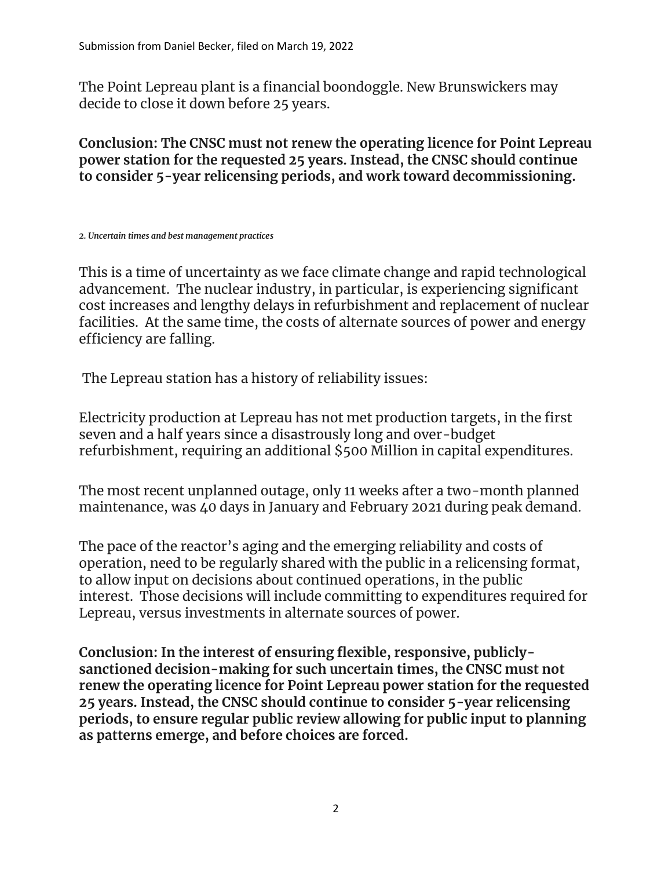The Point Lepreau plant is a financial boondoggle. New Brunswickers may decide to close it down before 25 years.

**Conclusion: The CNSC must not renew the operating licence for Point Lepreau power station for the requested 25 years. Instead, the CNSC should continue to consider 5-year relicensing periods, and work toward decommissioning.**

*2. Uncertain times and best management practices*

This is a time of uncertainty as we face climate change and rapid technological advancement. The nuclear industry, in particular, is experiencing significant cost increases and lengthy delays in refurbishment and replacement of nuclear facilities. At the same time, the costs of alternate sources of power and energy efficiency are falling.

The Lepreau station has a history of reliability issues:

Electricity production at Lepreau has not met production targets, in the first seven and a half years since a disastrously long and over-budget refurbishment, requiring an additional \$500 Million in capital expenditures.

The most recent unplanned outage, only 11 weeks after a two-month planned maintenance, was 40 days in January and February 2021 during peak demand.

The pace of the reactor's aging and the emerging reliability and costs of operation, need to be regularly shared with the public in a relicensing format, to allow input on decisions about continued operations, in the public interest. Those decisions will include committing to expenditures required for Lepreau, versus investments in alternate sources of power.

**Conclusion: In the interest of ensuring flexible, responsive, publiclysanctioned decision-making for such uncertain times, the CNSC must not renew the operating licence for Point Lepreau power station for the requested 25 years. Instead, the CNSC should continue to consider 5-year relicensing periods, to ensure regular public review allowing for public input to planning as patterns emerge, and before choices are forced.**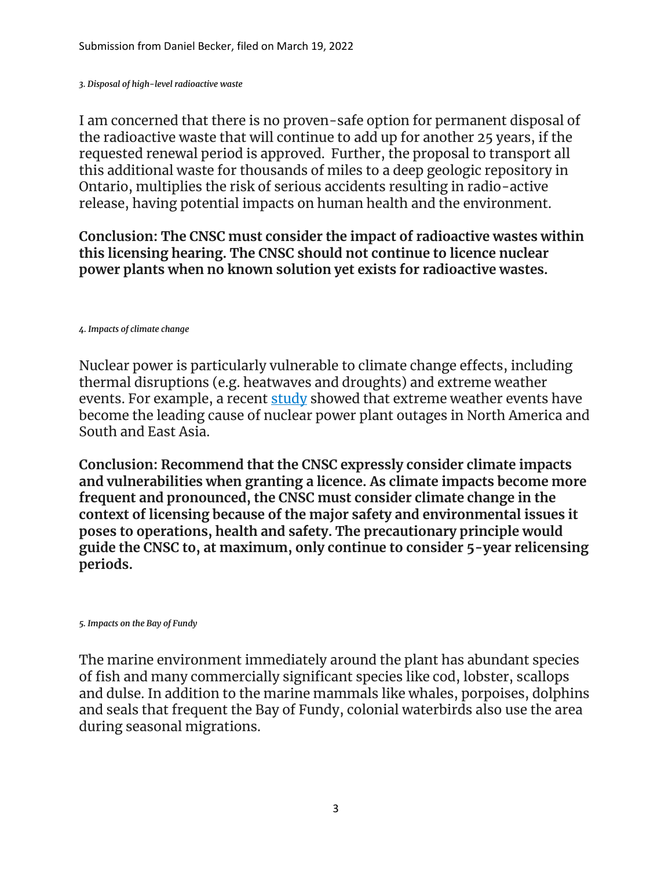*3. Disposal of high-level radioactive waste*

I am concerned that there is no proven-safe option for permanent disposal of the radioactive waste that will continue to add up for another 25 years, if the requested renewal period is approved. Further, the proposal to transport all this additional waste for thousands of miles to a deep geologic repository in Ontario, multiplies the risk of serious accidents resulting in radio-active release, having potential impacts on human health and the environment.

**Conclusion: The CNSC must consider the impact of radioactive wastes within this licensing hearing. The CNSC should not continue to licence nuclear power plants when no known solution yet exists for radioactive wastes.**

*4. Impacts of climate change*

Nuclear power is particularly vulnerable to climate change effects, including thermal disruptions (e.g. heatwaves and droughts) and extreme weather events. For example, a recent [study](https://www.nature.com/articles/s41560-021-00849-y) showed that extreme weather events have become the leading cause of nuclear power plant outages in North America and South and East Asia.

**Conclusion: Recommend that the CNSC expressly consider climate impacts and vulnerabilities when granting a licence. As climate impacts become more frequent and pronounced, the CNSC must consider climate change in the context of licensing because of the major safety and environmental issues it poses to operations, health and safety. The precautionary principle would guide the CNSC to, at maximum, only continue to consider 5-year relicensing periods.**

*5. Impacts on the Bay of Fundy*

The marine environment immediately around the plant has abundant species of fish and many commercially significant species like cod, lobster, scallops and dulse. In addition to the marine mammals like whales, porpoises, dolphins and seals that frequent the Bay of Fundy, colonial waterbirds also use the area during seasonal migrations.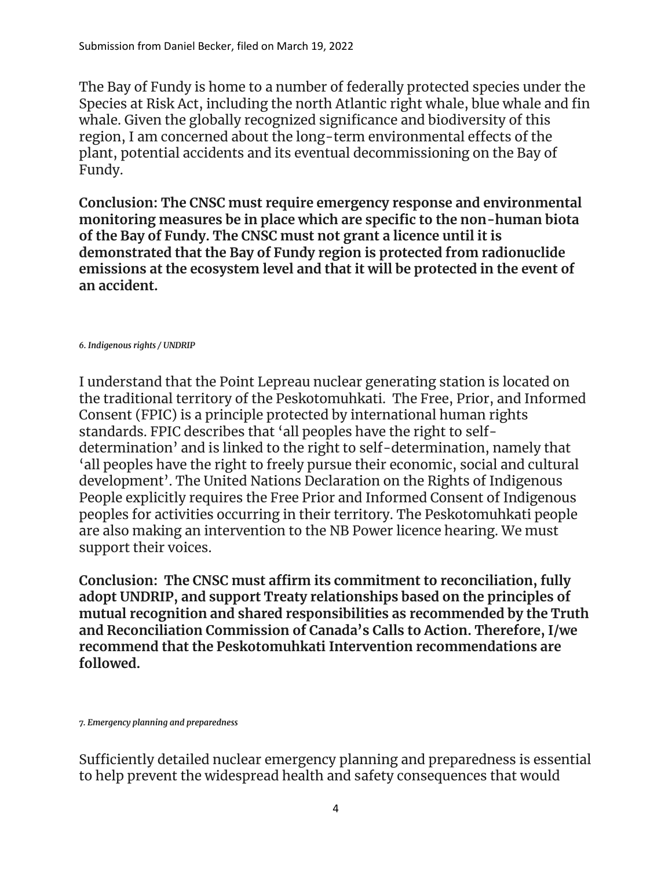The Bay of Fundy is home to a number of federally protected species under the Species at Risk Act, including the north Atlantic right whale, blue whale and fin whale. Given the globally recognized significance and biodiversity of this region, I am concerned about the long-term environmental effects of the plant, potential accidents and its eventual decommissioning on the Bay of Fundy.

**Conclusion: The CNSC must require emergency response and environmental monitoring measures be in place which are specific to the non-human biota of the Bay of Fundy. The CNSC must not grant a licence until it is demonstrated that the Bay of Fundy region is protected from radionuclide emissions at the ecosystem level and that it will be protected in the event of an accident.**

*6. Indigenous rights / UNDRIP*

I understand that the Point Lepreau nuclear generating station is located on the traditional territory of the Peskotomuhkati. The Free, Prior, and Informed Consent (FPIC) is a principle protected by international human rights standards. FPIC describes that 'all peoples have the right to selfdetermination' and is linked to the right to self-determination, namely that 'all peoples have the right to freely pursue their economic, social and cultural development'. The United Nations Declaration on the Rights of Indigenous People explicitly requires the Free Prior and Informed Consent of Indigenous peoples for activities occurring in their territory. The Peskotomuhkati people are also making an intervention to the NB Power licence hearing. We must support their voices.

**Conclusion: The CNSC must affirm its commitment to reconciliation, fully adopt UNDRIP, and support Treaty relationships based on the principles of mutual recognition and shared responsibilities as recommended by the Truth and Reconciliation Commission of Canada's Calls to Action. Therefore, I/we recommend that the Peskotomuhkati Intervention recommendations are followed.**

*7. Emergency planning and preparedness*

Sufficiently detailed nuclear emergency planning and preparedness is essential to help prevent the widespread health and safety consequences that would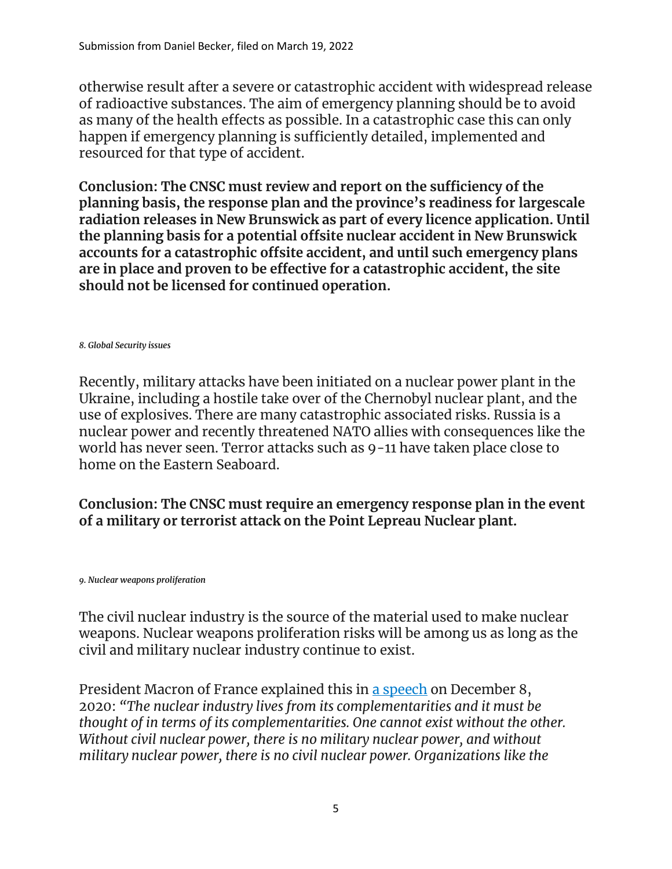otherwise result after a severe or catastrophic accident with widespread release of radioactive substances. The aim of emergency planning should be to avoid as many of the health effects as possible. In a catastrophic case this can only happen if emergency planning is sufficiently detailed, implemented and resourced for that type of accident.

**Conclusion: The CNSC must review and report on the sufficiency of the planning basis, the response plan and the province's readiness for largescale radiation releases in New Brunswick as part of every licence application. Until the planning basis for a potential offsite nuclear accident in New Brunswick accounts for a catastrophic offsite accident, and until such emergency plans are in place and proven to be effective for a catastrophic accident, the site should not be licensed for continued operation.**

#### *8. Global Security issues*

Recently, military attacks have been initiated on a nuclear power plant in the Ukraine, including a hostile take over of the Chernobyl nuclear plant, and the use of explosives. There are many catastrophic associated risks. Russia is a nuclear power and recently threatened NATO allies with consequences like the world has never seen. Terror attacks such as 9-11 have taken place close to home on the Eastern Seaboard.

# **Conclusion: The CNSC must require an emergency response plan in the event of a military or terrorist attack on the Point Lepreau Nuclear plant.**

#### *9. Nuclear weapons proliferation*

The civil nuclear industry is the source of the material used to make nuclear weapons. Nuclear weapons proliferation risks will be among us as long as the civil and military nuclear industry continue to exist.

President Macron of France explained this in [a speech](https://www.elysee.fr/front/pdf/elysee-module-16825-fr.pdf) on December 8, 2020: *"The nuclear industry lives from its complementarities and it must be thought of in terms of its complementarities. One cannot exist without the other. Without civil nuclear power, there is no military nuclear power, and without military nuclear power, there is no civil nuclear power. Organizations like the*